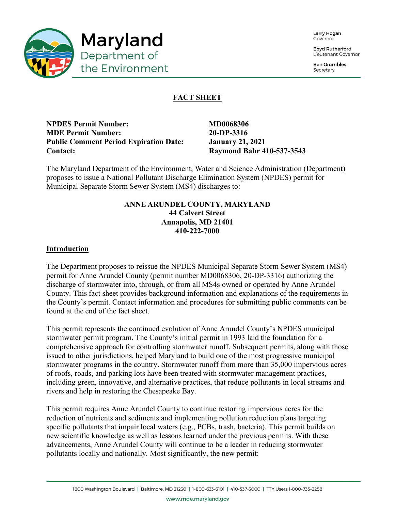

**Boyd Rutherford** Lieutenant Governor

**Ben Grumbles** Secretary



# **FACT SHEET**

**NPDES Permit Number:** MD0068306 **MDE Permit Number: 20-DP-3316 Public Comment Period Expiration Date: January 21, 2021 Contact: Raymond Bahr 410-537-3543**

The Maryland Department of the Environment, Water and Science Administration (Department) proposes to issue a National Pollutant Discharge Elimination System (NPDES) permit for Municipal Separate Storm Sewer System (MS4) discharges to:

# **ANNE ARUNDEL COUNTY, MARYLAND 44 Calvert Street Annapolis, MD 21401 410-222-7000**

### **Introduction**

The Department proposes to reissue the NPDES Municipal Separate Storm Sewer System (MS4) permit for Anne Arundel County (permit number MD0068306, 20-DP-3316) authorizing the discharge of stormwater into, through, or from all MS4s owned or operated by Anne Arundel County. This fact sheet provides background information and explanations of the requirements in the County's permit. Contact information and procedures for submitting public comments can be found at the end of the fact sheet.

This permit represents the continued evolution of Anne Arundel County's NPDES municipal stormwater permit program. The County's initial permit in 1993 laid the foundation for a comprehensive approach for controlling stormwater runoff. Subsequent permits, along with those issued to other jurisdictions, helped Maryland to build one of the most progressive municipal stormwater programs in the country. Stormwater runoff from more than 35,000 impervious acres of roofs, roads, and parking lots have been treated with stormwater management practices, including green, innovative, and alternative practices, that reduce pollutants in local streams and rivers and help in restoring the Chesapeake Bay.

This permit requires Anne Arundel County to continue restoring impervious acres for the reduction of nutrients and sediments and implementing pollution reduction plans targeting specific pollutants that impair local waters (e.g., PCBs, trash, bacteria). This permit builds on new scientific knowledge as well as lessons learned under the previous permits. With these advancements, Anne Arundel County will continue to be a leader in reducing stormwater pollutants locally and nationally. Most significantly, the new permit:

www.mde.maryland.gov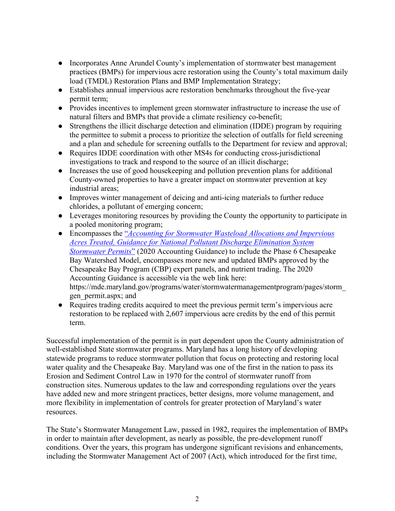- Incorporates Anne Arundel County's implementation of stormwater best management practices (BMPs) for impervious acre restoration using the County's total maximum daily load (TMDL) Restoration Plans and BMP Implementation Strategy;
- Establishes annual impervious acre restoration benchmarks throughout the five-year permit term;
- Provides incentives to implement green stormwater infrastructure to increase the use of natural filters and BMPs that provide a climate resiliency co-benefit;
- Strengthens the illicit discharge detection and elimination (IDDE) program by requiring the permittee to submit a process to prioritize the selection of outfalls for field screening and a plan and schedule for screening outfalls to the Department for review and approval;
- Requires IDDE coordination with other MS4s for conducting cross-jurisdictional investigations to track and respond to the source of an illicit discharge;
- Increases the use of good housekeeping and pollution prevention plans for additional County-owned properties to have a greater impact on stormwater prevention at key industrial areas;
- Improves winter management of deicing and anti-icing materials to further reduce chlorides, a pollutant of emerging concern;
- Leverages monitoring resources by providing the County the opportunity to participate in a pooled monitoring program;
- Encompasses the "*Accounting for Stormwater Wasteload Allocations and Impervious Acres Treated, Guidance for National Pollutant Discharge Elimination System Stormwater Permits*" (2020 Accounting Guidance) to include the Phase 6 Chesapeake Bay Watershed Model, encompasses more new and updated BMPs approved by the Chesapeake Bay Program (CBP) expert panels, and nutrient trading. The 2020 Accounting Guidance is accessible via the web link here: https://mde.maryland.gov/programs/water/stormwatermanagementprogram/pages/storm\_ gen\_permit.aspx; and
- Requires trading credits acquired to meet the previous permit term's impervious acre restoration to be replaced with 2,607 impervious acre credits by the end of this permit term.

Successful implementation of the permit is in part dependent upon the County administration of well-established State stormwater programs. Maryland has a long history of developing statewide programs to reduce stormwater pollution that focus on protecting and restoring local water quality and the Chesapeake Bay. Maryland was one of the first in the nation to pass its Erosion and Sediment Control Law in 1970 for the control of stormwater runoff from construction sites. Numerous updates to the law and corresponding regulations over the years have added new and more stringent practices, better designs, more volume management, and more flexibility in implementation of controls for greater protection of Maryland's water resources.

The State's Stormwater Management Law, passed in 1982, requires the implementation of BMPs in order to maintain after development, as nearly as possible, the pre-development runoff conditions. Over the years, this program has undergone significant revisions and enhancements, including the Stormwater Management Act of 2007 (Act), which introduced for the first time,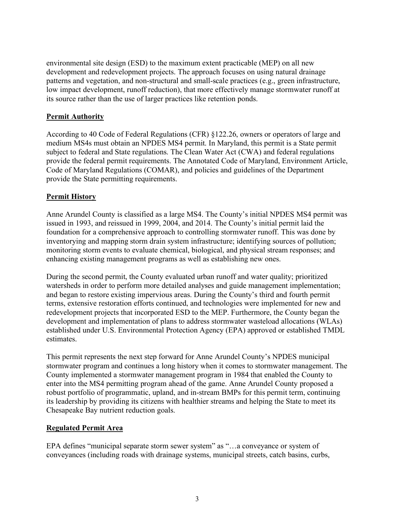environmental site design (ESD) to the maximum extent practicable (MEP) on all new development and redevelopment projects. The approach focuses on using natural drainage patterns and vegetation, and non-structural and small-scale practices (e.g., green infrastructure, low impact development, runoff reduction), that more effectively manage stormwater runoff at its source rather than the use of larger practices like retention ponds.

# **Permit Authority**

According to 40 Code of Federal Regulations (CFR) §122.26, owners or operators of large and medium MS4s must obtain an NPDES MS4 permit. In Maryland, this permit is a State permit subject to federal and State regulations. The Clean Water Act (CWA) and federal regulations provide the federal permit requirements. The Annotated Code of Maryland, Environment Article, Code of Maryland Regulations (COMAR), and policies and guidelines of the Department provide the State permitting requirements.

# **Permit History**

Anne Arundel County is classified as a large MS4. The County's initial NPDES MS4 permit was issued in 1993, and reissued in 1999, 2004, and 2014. The County's initial permit laid the foundation for a comprehensive approach to controlling stormwater runoff. This was done by inventorying and mapping storm drain system infrastructure; identifying sources of pollution; monitoring storm events to evaluate chemical, biological, and physical stream responses; and enhancing existing management programs as well as establishing new ones.

During the second permit, the County evaluated urban runoff and water quality; prioritized watersheds in order to perform more detailed analyses and guide management implementation; and began to restore existing impervious areas. During the County's third and fourth permit terms, extensive restoration efforts continued, and technologies were implemented for new and redevelopment projects that incorporated ESD to the MEP. Furthermore, the County began the development and implementation of plans to address stormwater wasteload allocations (WLAs) established under U.S. Environmental Protection Agency (EPA) approved or established TMDL estimates.

This permit represents the next step forward for Anne Arundel County's NPDES municipal stormwater program and continues a long history when it comes to stormwater management. The County implemented a stormwater management program in 1984 that enabled the County to enter into the MS4 permitting program ahead of the game. Anne Arundel County proposed a robust portfolio of programmatic, upland, and in-stream BMPs for this permit term, continuing its leadership by providing its citizens with healthier streams and helping the State to meet its Chesapeake Bay nutrient reduction goals.

# **Regulated Permit Area**

EPA defines "municipal separate storm sewer system" as "…a conveyance or system of conveyances (including roads with drainage systems, municipal streets, catch basins, curbs,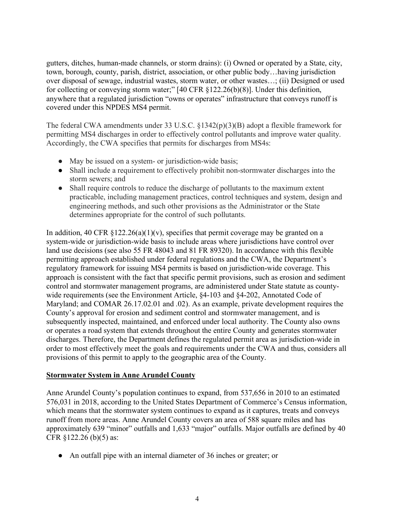gutters, ditches, human-made channels, or storm drains): (i) Owned or operated by a State, city, town, borough, county, parish, district, association, or other public body…having jurisdiction over disposal of sewage, industrial wastes, storm water, or other wastes…; (ii) Designed or used for collecting or conveying storm water;" [40 CFR §122.26(b)(8)]. Under this definition, anywhere that a regulated jurisdiction "owns or operates" infrastructure that conveys runoff is covered under this NPDES MS4 permit.

The federal CWA amendments under 33 U.S.C. §1342(p)(3)(B) adopt a flexible framework for permitting MS4 discharges in order to effectively control pollutants and improve water quality. Accordingly, the CWA specifies that permits for discharges from MS4s:

- May be issued on a system- or jurisdiction-wide basis;
- Shall include a requirement to effectively prohibit non-stormwater discharges into the storm sewers; and
- Shall require controls to reduce the discharge of pollutants to the maximum extent practicable, including management practices, control techniques and system, design and engineering methods, and such other provisions as the Administrator or the State determines appropriate for the control of such pollutants.

In addition, 40 CFR  $\S 122.26(a)(1)(v)$ , specifies that permit coverage may be granted on a system-wide or jurisdiction-wide basis to include areas where jurisdictions have control over land use decisions (see also 55 FR 48043 and 81 FR 89320). In accordance with this flexible permitting approach established under federal regulations and the CWA, the Department's regulatory framework for issuing MS4 permits is based on jurisdiction-wide coverage. This approach is consistent with the fact that specific permit provisions, such as erosion and sediment control and stormwater management programs, are administered under State statute as countywide requirements (see the Environment Article, §4-103 and §4-202, Annotated Code of Maryland; and COMAR 26.17.02.01 and .02). As an example, private development requires the County's approval for erosion and sediment control and stormwater management, and is subsequently inspected, maintained, and enforced under local authority. The County also owns or operates a road system that extends throughout the entire County and generates stormwater discharges. Therefore, the Department defines the regulated permit area as jurisdiction-wide in order to most effectively meet the goals and requirements under the CWA and thus, considers all provisions of this permit to apply to the geographic area of the County.

### **Stormwater System in Anne Arundel County**

Anne Arundel County's population continues to expand, from 537,656 in 2010 to an estimated 576,031 in 2018, according to the United States Department of Commerce's Census information, which means that the stormwater system continues to expand as it captures, treats and conveys runoff from more areas. Anne Arundel County covers an area of 588 square miles and has approximately 639 "minor" outfalls and 1,633 "major" outfalls. Major outfalls are defined by 40 CFR §122.26 (b)(5) as:

• An outfall pipe with an internal diameter of 36 inches or greater; or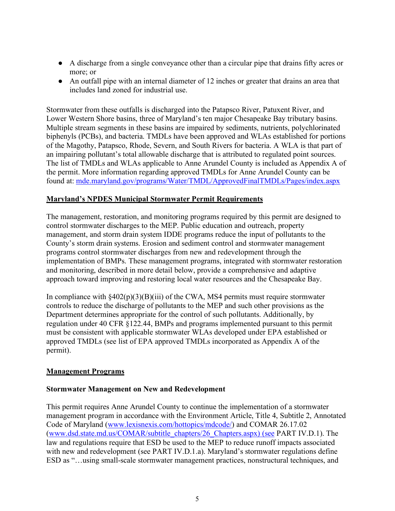- A discharge from a single conveyance other than a circular pipe that drains fifty acres or more; or
- An outfall pipe with an internal diameter of 12 inches or greater that drains an area that includes land zoned for industrial use.

Stormwater from these outfalls is discharged into the Patapsco River, Patuxent River, and Lower Western Shore basins, three of Maryland's ten major Chesapeake Bay tributary basins. Multiple stream segments in these basins are impaired by sediments, nutrients, polychlorinated biphenyls (PCBs), and bacteria. TMDLs have been approved and WLAs established for portions of the Magothy, Patapsco, Rhode, Severn, and South Rivers for bacteria. A WLA is that part of an impairing pollutant's total allowable discharge that is attributed to regulated point sources. The list of TMDLs and WLAs applicable to Anne Arundel County is included as Appendix A of the permit. More information regarding approved TMDLs for Anne Arundel County can be found at: mde.maryland.gov/programs/Water/TMDL/ApprovedFinalTMDLs/Pages/index.aspx

### **Maryland's NPDES Municipal Stormwater Permit Requirements**

The management, restoration, and monitoring programs required by this permit are designed to control stormwater discharges to the MEP. Public education and outreach, property management, and storm drain system IDDE programs reduce the input of pollutants to the County's storm drain systems. Erosion and sediment control and stormwater management programs control stormwater discharges from new and redevelopment through the implementation of BMPs. These management programs, integrated with stormwater restoration and monitoring, described in more detail below, provide a comprehensive and adaptive approach toward improving and restoring local water resources and the Chesapeake Bay.

In compliance with  $§402(p)(3)(B)(iii)$  of the CWA, MS4 permits must require stormwater controls to reduce the discharge of pollutants to the MEP and such other provisions as the Department determines appropriate for the control of such pollutants. Additionally, by regulation under 40 CFR §122.44, BMPs and programs implemented pursuant to this permit must be consistent with applicable stormwater WLAs developed under EPA established or approved TMDLs (see list of EPA approved TMDLs incorporated as Appendix A of the permit).

### **Management Programs**

### **Stormwater Management on New and Redevelopment**

This permit requires Anne Arundel County to continue the implementation of a stormwater management program in accordance with the Environment Article, Title 4, Subtitle 2, Annotated Code of Maryland (www.lexisnexis.com/hottopics/mdcode/) and COMAR 26.17.02 (www.dsd.state.md.us/COMAR/subtitle\_chapters/26\_Chapters.aspx) (see PART IV.D.1). The law and regulations require that ESD be used to the MEP to reduce runoff impacts associated with new and redevelopment (see PART IV.D.1.a). Maryland's stormwater regulations define ESD as "…using small-scale stormwater management practices, nonstructural techniques, and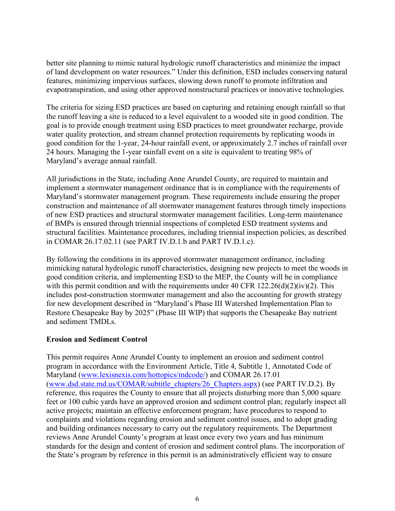better site planning to mimic natural hydrologic runoff characteristics and minimize the impact of land development on water resources." Under this definition, ESD includes conserving natural features, minimizing impervious surfaces, slowing down runoff to promote infiltration and evapotranspiration, and using other approved nonstructural practices or innovative technologies.

The criteria for sizing ESD practices are based on capturing and retaining enough rainfall so that the runoff leaving a site is reduced to a level equivalent to a wooded site in good condition. The goal is to provide enough treatment using ESD practices to meet groundwater recharge, provide water quality protection, and stream channel protection requirements by replicating woods in good condition for the 1-year, 24-hour rainfall event, or approximately 2.7 inches of rainfall over 24 hours. Managing the 1-year rainfall event on a site is equivalent to treating 98% of Maryland's average annual rainfall.

All jurisdictions in the State, including Anne Arundel County, are required to maintain and implement a stormwater management ordinance that is in compliance with the requirements of Maryland's stormwater management program. These requirements include ensuring the proper construction and maintenance of all stormwater management features through timely inspections of new ESD practices and structural stormwater management facilities. Long-term maintenance of BMPs is ensured through triennial inspections of completed ESD treatment systems and structural facilities. Maintenance procedures, including triennial inspection policies, as described in COMAR 26.17.02.11 (see PART IV.D.1.b and PART IV.D.1.c).

By following the conditions in its approved stormwater management ordinance, including mimicking natural hydrologic runoff characteristics, designing new projects to meet the woods in good condition criteria, and implementing ESD to the MEP, the County will be in compliance with this permit condition and with the requirements under 40 CFR  $122.26(d)(2)(iv)(2)$ . This includes post-construction stormwater management and also the accounting for growth strategy for new development described in "Maryland's Phase III Watershed Implementation Plan to Restore Chesapeake Bay by 2025" (Phase III WIP) that supports the Chesapeake Bay nutrient and sediment TMDLs.

# **Erosion and Sediment Control**

This permit requires Anne Arundel County to implement an erosion and sediment control program in accordance with the Environment Article, Title 4, Subtitle 1, Annotated Code of Maryland (www.lexisnexis.com/hottopics/mdcode/) and COMAR 26.17.01 (www.dsd.state.md.us/COMAR/subtitle\_chapters/26\_Chapters.aspx) (see PART IV.D.2). By reference, this requires the County to ensure that all projects disturbing more than 5,000 square feet or 100 cubic yards have an approved erosion and sediment control plan; regularly inspect all active projects; maintain an effective enforcement program; have procedures to respond to complaints and violations regarding erosion and sediment control issues, and to adopt grading and building ordinances necessary to carry out the regulatory requirements. The Department reviews Anne Arundel County's program at least once every two years and has minimum standards for the design and content of erosion and sediment control plans. The incorporation of the State's program by reference in this permit is an administratively efficient way to ensure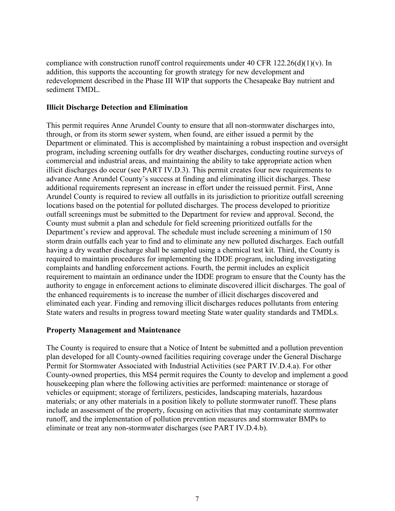compliance with construction runoff control requirements under 40 CFR 122.26(d)(1)(v). In addition, this supports the accounting for growth strategy for new development and redevelopment described in the Phase III WIP that supports the Chesapeake Bay nutrient and sediment TMDL.

### **Illicit Discharge Detection and Elimination**

This permit requires Anne Arundel County to ensure that all non-stormwater discharges into, through, or from its storm sewer system, when found, are either issued a permit by the Department or eliminated. This is accomplished by maintaining a robust inspection and oversight program, including screening outfalls for dry weather discharges, conducting routine surveys of commercial and industrial areas, and maintaining the ability to take appropriate action when illicit discharges do occur (see PART IV.D.3). This permit creates four new requirements to advance Anne Arundel County's success at finding and eliminating illicit discharges. These additional requirements represent an increase in effort under the reissued permit. First, Anne Arundel County is required to review all outfalls in its jurisdiction to prioritize outfall screening locations based on the potential for polluted discharges. The process developed to prioritize outfall screenings must be submitted to the Department for review and approval. Second, the County must submit a plan and schedule for field screening prioritized outfalls for the Department's review and approval. The schedule must include screening a minimum of 150 storm drain outfalls each year to find and to eliminate any new polluted discharges. Each outfall having a dry weather discharge shall be sampled using a chemical test kit. Third, the County is required to maintain procedures for implementing the IDDE program, including investigating complaints and handling enforcement actions. Fourth, the permit includes an explicit requirement to maintain an ordinance under the IDDE program to ensure that the County has the authority to engage in enforcement actions to eliminate discovered illicit discharges. The goal of the enhanced requirements is to increase the number of illicit discharges discovered and eliminated each year. Finding and removing illicit discharges reduces pollutants from entering State waters and results in progress toward meeting State water quality standards and TMDLs.

### **Property Management and Maintenance**

The County is required to ensure that a Notice of Intent be submitted and a pollution prevention plan developed for all County-owned facilities requiring coverage under the General Discharge Permit for Stormwater Associated with Industrial Activities (see PART IV.D.4.a). For other County-owned properties, this MS4 permit requires the County to develop and implement a good housekeeping plan where the following activities are performed: maintenance or storage of vehicles or equipment; storage of fertilizers, pesticides, landscaping materials, hazardous materials; or any other materials in a position likely to pollute stormwater runoff. These plans include an assessment of the property, focusing on activities that may contaminate stormwater runoff, and the implementation of pollution prevention measures and stormwater BMPs to eliminate or treat any non-stormwater discharges (see PART IV.D.4.b).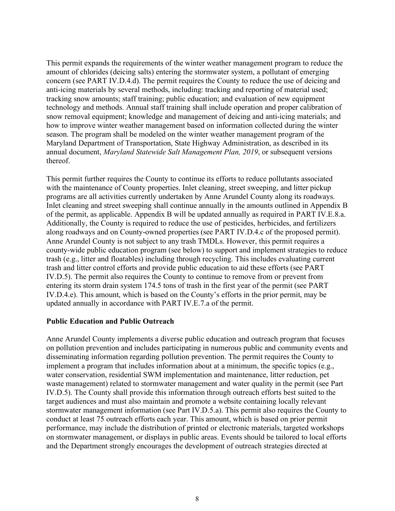This permit expands the requirements of the winter weather management program to reduce the amount of chlorides (deicing salts) entering the stormwater system, a pollutant of emerging concern (see PART IV.D.4.d). The permit requires the County to reduce the use of deicing and anti-icing materials by several methods, including: tracking and reporting of material used; tracking snow amounts; staff training; public education; and evaluation of new equipment technology and methods. Annual staff training shall include operation and proper calibration of snow removal equipment; knowledge and management of deicing and anti-icing materials; and how to improve winter weather management based on information collected during the winter season. The program shall be modeled on the winter weather management program of the Maryland Department of Transportation, State Highway Administration, as described in its annual document, *Maryland Statewide Salt Management Plan, 2019*, or subsequent versions thereof.

This permit further requires the County to continue its efforts to reduce pollutants associated with the maintenance of County properties. Inlet cleaning, street sweeping, and litter pickup programs are all activities currently undertaken by Anne Arundel County along its roadways. Inlet cleaning and street sweeping shall continue annually in the amounts outlined in Appendix B of the permit, as applicable. Appendix B will be updated annually as required in PART IV.E.8.a. Additionally, the County is required to reduce the use of pesticides, herbicides, and fertilizers along roadways and on County-owned properties (see PART IV.D.4.c of the proposed permit). Anne Arundel County is not subject to any trash TMDLs. However, this permit requires a county-wide public education program (see below) to support and implement strategies to reduce trash (e.g., litter and floatables) including through recycling. This includes evaluating current trash and litter control efforts and provide public education to aid these efforts (see PART IV.D.5). The permit also requires the County to continue to remove from or prevent from entering its storm drain system 174.5 tons of trash in the first year of the permit (see PART IV.D.4.e). This amount, which is based on the County's efforts in the prior permit, may be updated annually in accordance with PART IV.E.7.a of the permit.

### **Public Education and Public Outreach**

Anne Arundel County implements a diverse public education and outreach program that focuses on pollution prevention and includes participating in numerous public and community events and disseminating information regarding pollution prevention. The permit requires the County to implement a program that includes information about at a minimum, the specific topics (e.g., water conservation, residential SWM implementation and maintenance, litter reduction, pet waste management) related to stormwater management and water quality in the permit (see Part IV.D.5). The County shall provide this information through outreach efforts best suited to the target audiences and must also maintain and promote a website containing locally relevant stormwater management information (see Part IV.D.5.a). This permit also requires the County to conduct at least 75 outreach efforts each year. This amount, which is based on prior permit performance, may include the distribution of printed or electronic materials, targeted workshops on stormwater management, or displays in public areas. Events should be tailored to local efforts and the Department strongly encourages the development of outreach strategies directed at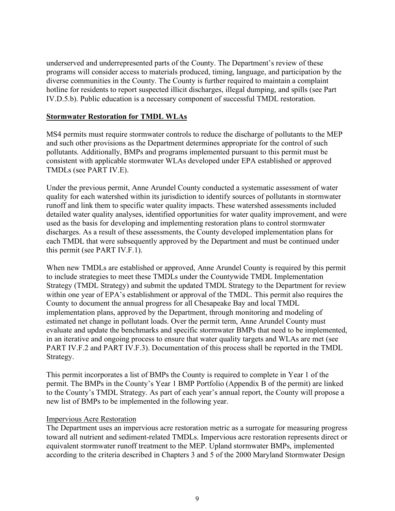underserved and underrepresented parts of the County. The Department's review of these programs will consider access to materials produced, timing, language, and participation by the diverse communities in the County. The County is further required to maintain a complaint hotline for residents to report suspected illicit discharges, illegal dumping, and spills (see Part IV.D.5.b). Public education is a necessary component of successful TMDL restoration.

### **Stormwater Restoration for TMDL WLAs**

MS4 permits must require stormwater controls to reduce the discharge of pollutants to the MEP and such other provisions as the Department determines appropriate for the control of such pollutants. Additionally, BMPs and programs implemented pursuant to this permit must be consistent with applicable stormwater WLAs developed under EPA established or approved TMDLs (see PART IV.E).

Under the previous permit, Anne Arundel County conducted a systematic assessment of water quality for each watershed within its jurisdiction to identify sources of pollutants in stormwater runoff and link them to specific water quality impacts. These watershed assessments included detailed water quality analyses, identified opportunities for water quality improvement, and were used as the basis for developing and implementing restoration plans to control stormwater discharges. As a result of these assessments, the County developed implementation plans for each TMDL that were subsequently approved by the Department and must be continued under this permit (see PART IV.F.1).

When new TMDLs are established or approved, Anne Arundel County is required by this permit to include strategies to meet these TMDLs under the Countywide TMDL Implementation Strategy (TMDL Strategy) and submit the updated TMDL Strategy to the Department for review within one year of EPA's establishment or approval of the TMDL. This permit also requires the County to document the annual progress for all Chesapeake Bay and local TMDL implementation plans, approved by the Department, through monitoring and modeling of estimated net change in pollutant loads. Over the permit term, Anne Arundel County must evaluate and update the benchmarks and specific stormwater BMPs that need to be implemented, in an iterative and ongoing process to ensure that water quality targets and WLAs are met (see PART IV.F.2 and PART IV.F.3). Documentation of this process shall be reported in the TMDL Strategy.

This permit incorporates a list of BMPs the County is required to complete in Year 1 of the permit. The BMPs in the County's Year 1 BMP Portfolio (Appendix B of the permit) are linked to the County's TMDL Strategy. As part of each year's annual report, the County will propose a new list of BMPs to be implemented in the following year.

### Impervious Acre Restoration

The Department uses an impervious acre restoration metric as a surrogate for measuring progress toward all nutrient and sediment-related TMDLs. Impervious acre restoration represents direct or equivalent stormwater runoff treatment to the MEP. Upland stormwater BMPs, implemented according to the criteria described in Chapters 3 and 5 of the 2000 Maryland Stormwater Design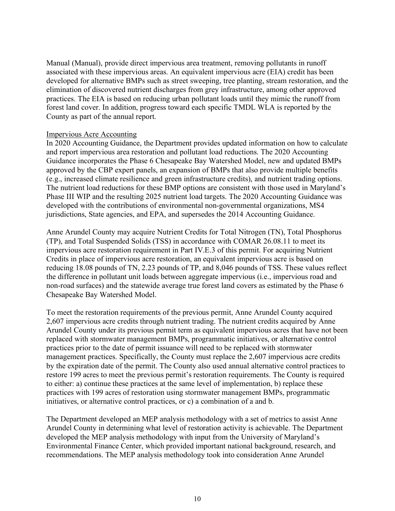Manual (Manual), provide direct impervious area treatment, removing pollutants in runoff associated with these impervious areas. An equivalent impervious acre (EIA) credit has been developed for alternative BMPs such as street sweeping, tree planting, stream restoration, and the elimination of discovered nutrient discharges from grey infrastructure, among other approved practices. The EIA is based on reducing urban pollutant loads until they mimic the runoff from forest land cover. In addition, progress toward each specific TMDL WLA is reported by the County as part of the annual report.

### Impervious Acre Accounting

In 2020 Accounting Guidance, the Department provides updated information on how to calculate and report impervious area restoration and pollutant load reductions. The 2020 Accounting Guidance incorporates the Phase 6 Chesapeake Bay Watershed Model, new and updated BMPs approved by the CBP expert panels, an expansion of BMPs that also provide multiple benefits (e.g., increased climate resilience and green infrastructure credits), and nutrient trading options. The nutrient load reductions for these BMP options are consistent with those used in Maryland's Phase III WIP and the resulting 2025 nutrient load targets. The 2020 Accounting Guidance was developed with the contributions of environmental non-governmental organizations, MS4 jurisdictions, State agencies, and EPA, and supersedes the 2014 Accounting Guidance.

Anne Arundel County may acquire Nutrient Credits for Total Nitrogen (TN), Total Phosphorus (TP), and Total Suspended Solids (TSS) in accordance with COMAR 26.08.11 to meet its impervious acre restoration requirement in Part IV.E.3 of this permit. For acquiring Nutrient Credits in place of impervious acre restoration, an equivalent impervious acre is based on reducing 18.08 pounds of TN, 2.23 pounds of TP, and 8,046 pounds of TSS. These values reflect the difference in pollutant unit loads between aggregate impervious (i.e., impervious road and non-road surfaces) and the statewide average true forest land covers as estimated by the Phase 6 Chesapeake Bay Watershed Model.

To meet the restoration requirements of the previous permit, Anne Arundel County acquired 2,607 impervious acre credits through nutrient trading. The nutrient credits acquired by Anne Arundel County under its previous permit term as equivalent impervious acres that have not been replaced with stormwater management BMPs, programmatic initiatives, or alternative control practices prior to the date of permit issuance will need to be replaced with stormwater management practices. Specifically, the County must replace the 2,607 impervious acre credits by the expiration date of the permit. The County also used annual alternative control practices to restore 199 acres to meet the previous permit's restoration requirements. The County is required to either: a) continue these practices at the same level of implementation, b) replace these practices with 199 acres of restoration using stormwater management BMPs, programmatic initiatives, or alternative control practices, or c) a combination of a and b.

The Department developed an MEP analysis methodology with a set of metrics to assist Anne Arundel County in determining what level of restoration activity is achievable. The Department developed the MEP analysis methodology with input from the University of Maryland's Environmental Finance Center, which provided important national background, research, and recommendations. The MEP analysis methodology took into consideration Anne Arundel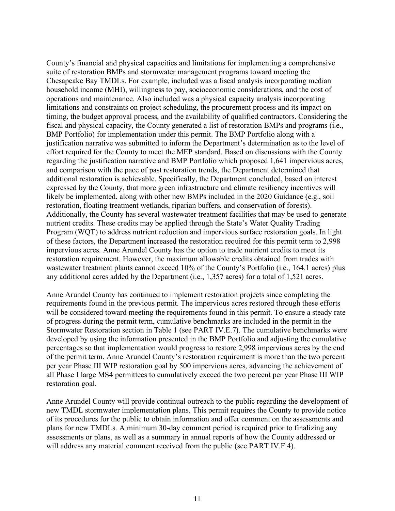County's financial and physical capacities and limitations for implementing a comprehensive suite of restoration BMPs and stormwater management programs toward meeting the Chesapeake Bay TMDLs. For example, included was a fiscal analysis incorporating median household income (MHI), willingness to pay, socioeconomic considerations, and the cost of operations and maintenance. Also included was a physical capacity analysis incorporating limitations and constraints on project scheduling, the procurement process and its impact on timing, the budget approval process, and the availability of qualified contractors. Considering the fiscal and physical capacity, the County generated a list of restoration BMPs and programs (i.e., BMP Portfolio) for implementation under this permit. The BMP Portfolio along with a justification narrative was submitted to inform the Department's determination as to the level of effort required for the County to meet the MEP standard. Based on discussions with the County regarding the justification narrative and BMP Portfolio which proposed 1,641 impervious acres, and comparison with the pace of past restoration trends, the Department determined that additional restoration is achievable. Specifically, the Department concluded, based on interest expressed by the County, that more green infrastructure and climate resiliency incentives will likely be implemented, along with other new BMPs included in the 2020 Guidance (e.g., soil restoration, floating treatment wetlands, riparian buffers, and conservation of forests). Additionally, the County has several wastewater treatment facilities that may be used to generate nutrient credits. These credits may be applied through the State's Water Quality Trading Program (WQT) to address nutrient reduction and impervious surface restoration goals. In light of these factors, the Department increased the restoration required for this permit term to 2,998 impervious acres. Anne Arundel County has the option to trade nutrient credits to meet its restoration requirement. However, the maximum allowable credits obtained from trades with wastewater treatment plants cannot exceed 10% of the County's Portfolio (i.e., 164.1 acres) plus any additional acres added by the Department (i.e., 1,357 acres) for a total of 1,521 acres.

Anne Arundel County has continued to implement restoration projects since completing the requirements found in the previous permit. The impervious acres restored through these efforts will be considered toward meeting the requirements found in this permit. To ensure a steady rate of progress during the permit term, cumulative benchmarks are included in the permit in the Stormwater Restoration section in Table 1 (see PART IV.E.7). The cumulative benchmarks were developed by using the information presented in the BMP Portfolio and adjusting the cumulative percentages so that implementation would progress to restore 2,998 impervious acres by the end of the permit term. Anne Arundel County's restoration requirement is more than the two percent per year Phase III WIP restoration goal by 500 impervious acres, advancing the achievement of all Phase I large MS4 permittees to cumulatively exceed the two percent per year Phase III WIP restoration goal.

Anne Arundel County will provide continual outreach to the public regarding the development of new TMDL stormwater implementation plans. This permit requires the County to provide notice of its procedures for the public to obtain information and offer comment on the assessments and plans for new TMDLs. A minimum 30-day comment period is required prior to finalizing any assessments or plans, as well as a summary in annual reports of how the County addressed or will address any material comment received from the public (see PART IV.F.4).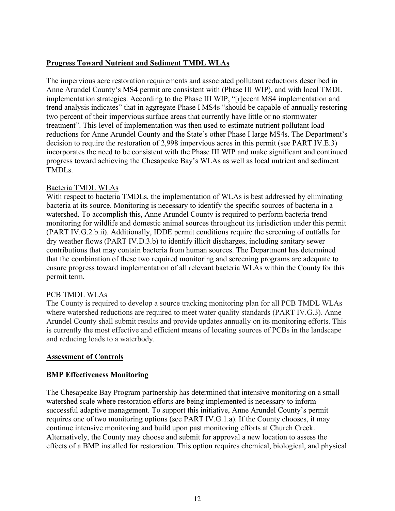# **Progress Toward Nutrient and Sediment TMDL WLAs**

The impervious acre restoration requirements and associated pollutant reductions described in Anne Arundel County's MS4 permit are consistent with (Phase III WIP), and with local TMDL implementation strategies. According to the Phase III WIP, "[r]ecent MS4 implementation and trend analysis indicates" that in aggregate Phase I MS4s "should be capable of annually restoring two percent of their impervious surface areas that currently have little or no stormwater treatment". This level of implementation was then used to estimate nutrient pollutant load reductions for Anne Arundel County and the State's other Phase I large MS4s. The Department's decision to require the restoration of 2,998 impervious acres in this permit (see PART IV.E.3) incorporates the need to be consistent with the Phase III WIP and make significant and continued progress toward achieving the Chesapeake Bay's WLAs as well as local nutrient and sediment TMDLs.

# Bacteria TMDL WLAs

With respect to bacteria TMDLs, the implementation of WLAs is best addressed by eliminating bacteria at its source. Monitoring is necessary to identify the specific sources of bacteria in a watershed. To accomplish this, Anne Arundel County is required to perform bacteria trend monitoring for wildlife and domestic animal sources throughout its jurisdiction under this permit (PART IV.G.2.b.ii). Additionally, IDDE permit conditions require the screening of outfalls for dry weather flows (PART IV.D.3.b) to identify illicit discharges, including sanitary sewer contributions that may contain bacteria from human sources. The Department has determined that the combination of these two required monitoring and screening programs are adequate to ensure progress toward implementation of all relevant bacteria WLAs within the County for this permit term.

# PCB TMDL WLAs

The County is required to develop a source tracking monitoring plan for all PCB TMDL WLAs where watershed reductions are required to meet water quality standards (PART IV.G.3). Anne Arundel County shall submit results and provide updates annually on its monitoring efforts. This is currently the most effective and efficient means of locating sources of PCBs in the landscape and reducing loads to a waterbody.

### **Assessment of Controls**

# **BMP Effectiveness Monitoring**

The Chesapeake Bay Program partnership has determined that intensive monitoring on a small watershed scale where restoration efforts are being implemented is necessary to inform successful adaptive management. To support this initiative, Anne Arundel County's permit requires one of two monitoring options (see PART IV.G.1.a). If the County chooses, it may continue intensive monitoring and build upon past monitoring efforts at Church Creek. Alternatively, the County may choose and submit for approval a new location to assess the effects of a BMP installed for restoration. This option requires chemical, biological, and physical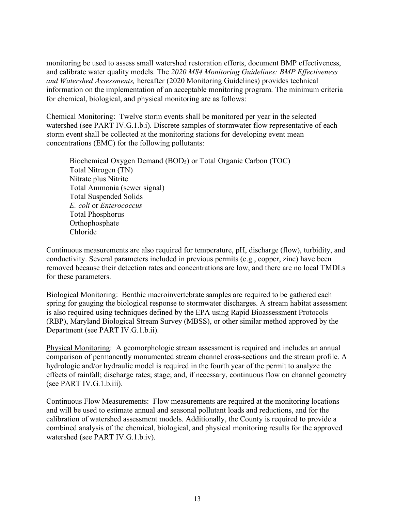monitoring be used to assess small watershed restoration efforts, document BMP effectiveness, and calibrate water quality models. The *2020 MS4 Monitoring Guidelines: BMP Effectiveness and Watershed Assessments,* hereafter (2020 Monitoring Guidelines) provides technical information on the implementation of an acceptable monitoring program. The minimum criteria for chemical, biological, and physical monitoring are as follows:

Chemical Monitoring: Twelve storm events shall be monitored per year in the selected watershed (see PART IV.G.1.b.i). Discrete samples of stormwater flow representative of each storm event shall be collected at the monitoring stations for developing event mean concentrations (EMC) for the following pollutants:

Biochemical Oxygen Demand (BOD<sub>5</sub>) or Total Organic Carbon (TOC) Total Nitrogen (TN) Nitrate plus Nitrite Total Ammonia (sewer signal) Total Suspended Solids *E. coli* or *Enterococcus* Total Phosphorus Orthophosphate Chloride

Continuous measurements are also required for temperature, pH, discharge (flow), turbidity, and conductivity. Several parameters included in previous permits (e.g., copper, zinc) have been removed because their detection rates and concentrations are low, and there are no local TMDLs for these parameters.

Biological Monitoring: Benthic macroinvertebrate samples are required to be gathered each spring for gauging the biological response to stormwater discharges. A stream habitat assessment is also required using techniques defined by the EPA using Rapid Bioassessment Protocols (RBP), Maryland Biological Stream Survey (MBSS), or other similar method approved by the Department (see PART IV.G.1.b.ii).

Physical Monitoring: A geomorphologic stream assessment is required and includes an annual comparison of permanently monumented stream channel cross-sections and the stream profile. A hydrologic and/or hydraulic model is required in the fourth year of the permit to analyze the effects of rainfall; discharge rates; stage; and, if necessary, continuous flow on channel geometry (see PART IV.G.1.b.iii).

Continuous Flow Measurements: Flow measurements are required at the monitoring locations and will be used to estimate annual and seasonal pollutant loads and reductions, and for the calibration of watershed assessment models. Additionally, the County is required to provide a combined analysis of the chemical, biological, and physical monitoring results for the approved watershed (see PART IV.G.1.b.iv).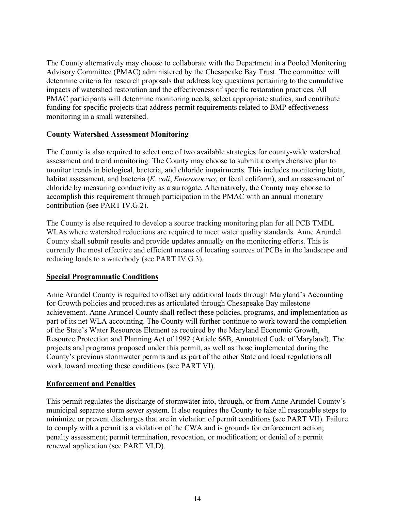The County alternatively may choose to collaborate with the Department in a Pooled Monitoring Advisory Committee (PMAC) administered by the Chesapeake Bay Trust. The committee will determine criteria for research proposals that address key questions pertaining to the cumulative impacts of watershed restoration and the effectiveness of specific restoration practices. All PMAC participants will determine monitoring needs, select appropriate studies, and contribute funding for specific projects that address permit requirements related to BMP effectiveness monitoring in a small watershed.

### **County Watershed Assessment Monitoring**

The County is also required to select one of two available strategies for county-wide watershed assessment and trend monitoring. The County may choose to submit a comprehensive plan to monitor trends in biological, bacteria, and chloride impairments. This includes monitoring biota, habitat assessment, and bacteria (*E. coli*, *Enterococcus*, or fecal coliform), and an assessment of chloride by measuring conductivity as a surrogate. Alternatively, the County may choose to accomplish this requirement through participation in the PMAC with an annual monetary contribution (see PART IV.G.2).

The County is also required to develop a source tracking monitoring plan for all PCB TMDL WLAs where watershed reductions are required to meet water quality standards. Anne Arundel County shall submit results and provide updates annually on the monitoring efforts. This is currently the most effective and efficient means of locating sources of PCBs in the landscape and reducing loads to a waterbody (see PART IV.G.3).

# **Special Programmatic Conditions**

Anne Arundel County is required to offset any additional loads through Maryland's Accounting for Growth policies and procedures as articulated through Chesapeake Bay milestone achievement. Anne Arundel County shall reflect these policies, programs, and implementation as part of its net WLA accounting. The County will further continue to work toward the completion of the State's Water Resources Element as required by the Maryland Economic Growth, Resource Protection and Planning Act of 1992 (Article 66B, Annotated Code of Maryland). The projects and programs proposed under this permit, as well as those implemented during the County's previous stormwater permits and as part of the other State and local regulations all work toward meeting these conditions (see PART VI).

### **Enforcement and Penalties**

This permit regulates the discharge of stormwater into, through, or from Anne Arundel County's municipal separate storm sewer system. It also requires the County to take all reasonable steps to minimize or prevent discharges that are in violation of permit conditions (see PART VII). Failure to comply with a permit is a violation of the CWA and is grounds for enforcement action; penalty assessment; permit termination, revocation, or modification; or denial of a permit renewal application (see PART VI.D).